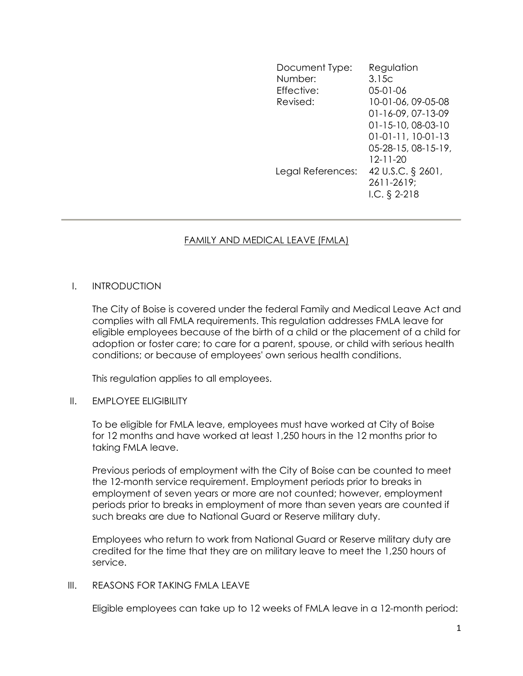Document Type: Regulation Number: 3.15c Effective: 05-01-06 Revised: 10-01-06, 09-05-08 01-16-09, 07-13-09 01-15-10, 08-03-10 01-01-11, 10-01-13 05-28-15, 08-15-19, 12-11-20 Legal References: 42 U.S.C. § 2601, 2611-2619; I.C. § 2-218

# FAMILY AND MEDICAL LEAVE (FMLA)

# I. INTRODUCTION

The City of Boise is covered under the federal Family and Medical Leave Act and complies with all FMLA requirements. This regulation addresses FMLA leave for eligible employees because of the birth of a child or the placement of a child for adoption or foster care; to care for a parent, spouse, or child with serious health conditions; or because of employees' own serious health conditions.

This regulation applies to all employees.

# II. EMPLOYEE ELIGIBILITY

To be eligible for FMLA leave, employees must have worked at City of Boise for 12 months and have worked at least 1,250 hours in the 12 months prior to taking FMLA leave.

Previous periods of employment with the City of Boise can be counted to meet the 12-month service requirement. Employment periods prior to breaks in employment of seven years or more are not counted; however, employment periods prior to breaks in employment of more than seven years are counted if such breaks are due to National Guard or Reserve military duty.

Employees who return to work from National Guard or Reserve military duty are credited for the time that they are on military leave to meet the 1,250 hours of service.

#### III. REASONS FOR TAKING FMLA LEAVE

Eligible employees can take up to 12 weeks of FMLA leave in a 12-month period: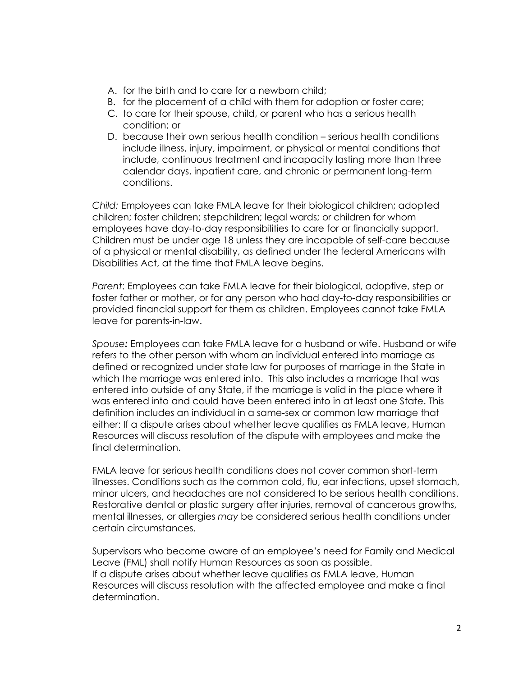- A. for the birth and to care for a newborn child;
- B. for the placement of a child with them for adoption or foster care;
- C. to care for their spouse, child, or parent who has a serious health condition; or
- D. because their own serious health condition serious health conditions include illness, injury, impairment, or physical or mental conditions that include, continuous treatment and incapacity lasting more than three calendar days, inpatient care, and chronic or permanent long-term conditions.

Child: Employees can take FMLA leave for their biological children; adopted children; foster children; stepchildren; legal wards; or children for whom employees have day-to-day responsibilities to care for or financially support. Children must be under age 18 unless they are incapable of self-care because of a physical or mental disability, as defined under the federal Americans with Disabilities Act, at the time that FMLA leave begins.

Parent: Employees can take FMLA leave for their biological, adoptive, step or foster father or mother, or for any person who had day-to-day responsibilities or provided financial support for them as children. Employees cannot take FMLA leave for parents-in-law.

Spouse: Employees can take FMLA leave for a husband or wife. Husband or wife refers to the other person with whom an individual entered into marriage as defined or recognized under state law for purposes of marriage in the State in which the marriage was entered into. This also includes a marriage that was entered into outside of any State, if the marriage is valid in the place where it was entered into and could have been entered into in at least one State. This definition includes an individual in a same-sex or common law marriage that either: If a dispute arises about whether leave qualifies as FMLA leave, Human Resources will discuss resolution of the dispute with employees and make the final determination.

FMLA leave for serious health conditions does not cover common short-term illnesses. Conditions such as the common cold, flu, ear infections, upset stomach, minor ulcers, and headaches are not considered to be serious health conditions. Restorative dental or plastic surgery after injuries, removal of cancerous growths, mental illnesses, or allergies may be considered serious health conditions under certain circumstances.

Supervisors who become aware of an employee's need for Family and Medical Leave (FML) shall notify Human Resources as soon as possible. If a dispute arises about whether leave qualifies as FMLA leave, Human Resources will discuss resolution with the affected employee and make a final determination.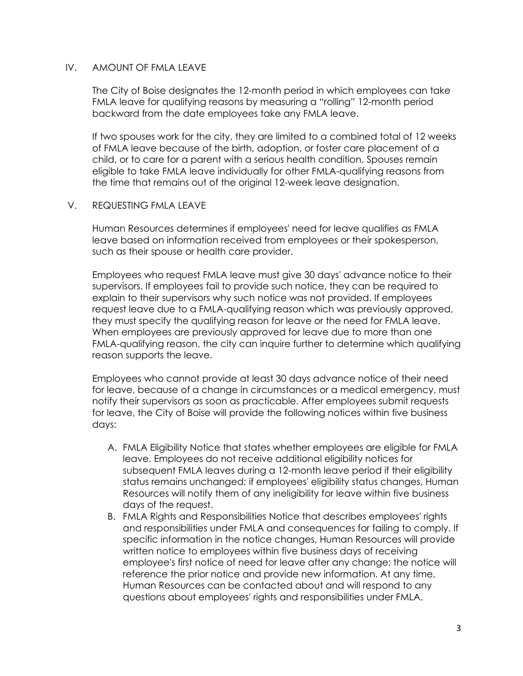# IV. AMOUNT OF FMLA LEAVE

The City of Boise designates the 12-month period in which employees can take FMLA leave for qualifying reasons by measuring a "rolling" 12-month period backward from the date employees take any FMLA leave.

If two spouses work for the city, they are limited to a combined total of 12 weeks of FMLA leave because of the birth, adoption, or foster care placement of a child, or to care for a parent with a serious health condition. Spouses remain eligible to take FMLA leave individually for other FMLA-qualifying reasons from the time that remains out of the original 12-week leave designation.

# V. REQUESTING FMLA LEAVE

Human Resources determines if employees' need for leave qualifies as FMLA leave based on information received from employees or their spokesperson, such as their spouse or health care provider.

Employees who request FMLA leave must give 30 days' advance notice to their supervisors. If employees fail to provide such notice, they can be required to explain to their supervisors why such notice was not provided. If employees request leave due to a FMLA-qualifying reason which was previously approved, they must specify the qualifying reason for leave or the need for FMLA leave. When employees are previously approved for leave due to more than one FMLA-qualifying reason, the city can inquire further to determine which qualifying reason supports the leave.

Employees who cannot provide at least 30 days advance notice of their need for leave, because of a change in circumstances or a medical emergency, must notify their supervisors as soon as practicable. After employees submit requests for leave, the City of Boise will provide the following notices within five business days:

- A. FMLA Eligibility Notice that states whether employees are eligible for FMLA leave. Employees do not receive additional eligibility notices for subsequent FMLA leaves during a 12-month leave period if their eligibility status remains unchanged; if employees' eligibility status changes, Human Resources will notify them of any ineligibility for leave within five business days of the request.
- B. FMLA Rights and Responsibilities Notice that describes employees' rights and responsibilities under FMLA and consequences for failing to comply. If specific information in the notice changes, Human Resources will provide written notice to employees within five business days of receiving employee's first notice of need for leave after any change; the notice will reference the prior notice and provide new information. At any time, Human Resources can be contacted about and will respond to any questions about employees' rights and responsibilities under FMLA.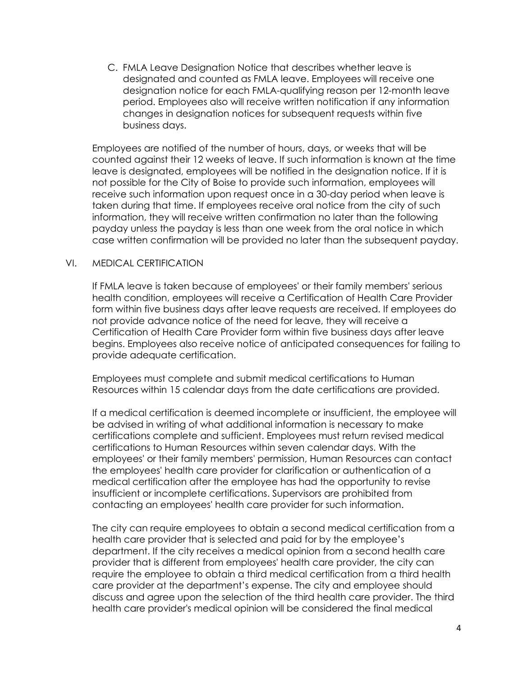C. FMLA Leave Designation Notice that describes whether leave is designated and counted as FMLA leave. Employees will receive one designation notice for each FMLA-qualifying reason per 12-month leave period. Employees also will receive written notification if any information changes in designation notices for subsequent requests within five business days.

Employees are notified of the number of hours, days, or weeks that will be counted against their 12 weeks of leave. If such information is known at the time leave is designated, employees will be notified in the designation notice. If it is not possible for the City of Boise to provide such information, employees will receive such information upon request once in a 30-day period when leave is taken during that time. If employees receive oral notice from the city of such information, they will receive written confirmation no later than the following payday unless the payday is less than one week from the oral notice in which case written confirmation will be provided no later than the subsequent payday.

# VI. MEDICAL CERTIFICATION

If FMLA leave is taken because of employees' or their family members' serious health condition, employees will receive a Certification of Health Care Provider form within five business days after leave requests are received. If employees do not provide advance notice of the need for leave, they will receive a Certification of Health Care Provider form within five business days after leave begins. Employees also receive notice of anticipated consequences for failing to provide adequate certification.

Employees must complete and submit medical certifications to Human Resources within 15 calendar days from the date certifications are provided.

If a medical certification is deemed incomplete or insufficient, the employee will be advised in writing of what additional information is necessary to make certifications complete and sufficient. Employees must return revised medical certifications to Human Resources within seven calendar days. With the employees' or their family members' permission, Human Resources can contact the employees' health care provider for clarification or authentication of a medical certification after the employee has had the opportunity to revise insufficient or incomplete certifications. Supervisors are prohibited from contacting an employees' health care provider for such information.

The city can require employees to obtain a second medical certification from a health care provider that is selected and paid for by the employee's department. If the city receives a medical opinion from a second health care provider that is different from employees' health care provider, the city can require the employee to obtain a third medical certification from a third health care provider at the department's expense. The city and employee should discuss and agree upon the selection of the third health care provider. The third health care provider's medical opinion will be considered the final medical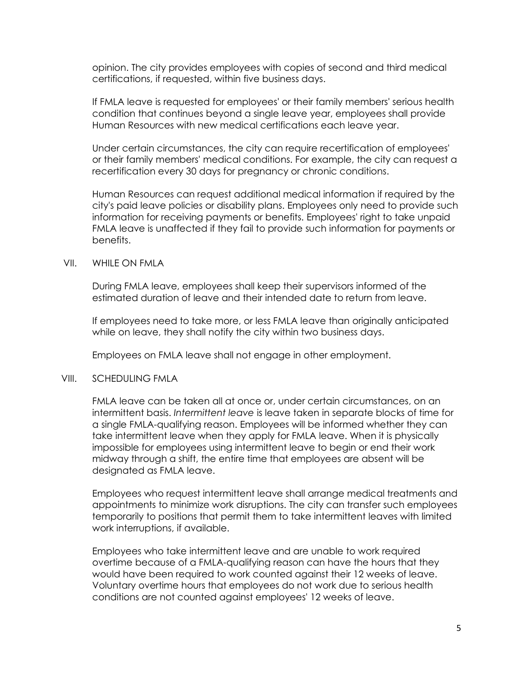opinion. The city provides employees with copies of second and third medical certifications, if requested, within five business days.

If FMLA leave is requested for employees' or their family members' serious health condition that continues beyond a single leave year, employees shall provide Human Resources with new medical certifications each leave year.

Under certain circumstances, the city can require recertification of employees' or their family members' medical conditions. For example, the city can request a recertification every 30 days for pregnancy or chronic conditions.

Human Resources can request additional medical information if required by the city's paid leave policies or disability plans. Employees only need to provide such information for receiving payments or benefits. Employees' right to take unpaid FMLA leave is unaffected if they fail to provide such information for payments or benefits.

#### VII. WHILE ON FMLA

During FMLA leave, employees shall keep their supervisors informed of the estimated duration of leave and their intended date to return from leave.

If employees need to take more, or less FMLA leave than originally anticipated while on leave, they shall notify the city within two business days.

Employees on FMLA leave shall not engage in other employment.

#### VIII. SCHEDULING FMLA

FMLA leave can be taken all at once or, under certain circumstances, on an intermittent basis. Intermittent leave is leave taken in separate blocks of time for a single FMLA-qualifying reason. Employees will be informed whether they can take intermittent leave when they apply for FMLA leave. When it is physically impossible for employees using intermittent leave to begin or end their work midway through a shift, the entire time that employees are absent will be designated as FMLA leave.

Employees who request intermittent leave shall arrange medical treatments and appointments to minimize work disruptions. The city can transfer such employees temporarily to positions that permit them to take intermittent leaves with limited work interruptions, if available.

Employees who take intermittent leave and are unable to work required overtime because of a FMLA-qualifying reason can have the hours that they would have been required to work counted against their 12 weeks of leave. Voluntary overtime hours that employees do not work due to serious health conditions are not counted against employees' 12 weeks of leave.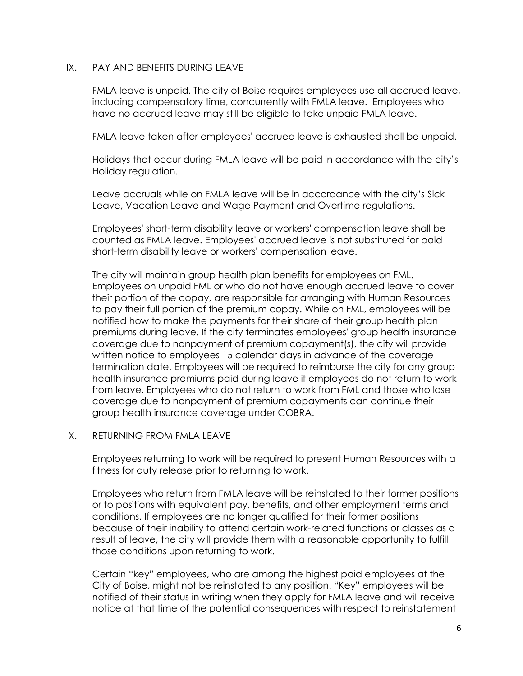#### IX. PAY AND BENEFITS DURING LEAVE

FMLA leave is unpaid. The city of Boise requires employees use all accrued leave, including compensatory time, concurrently with FMLA leave. Employees who have no accrued leave may still be eligible to take unpaid FMLA leave.

FMLA leave taken after employees' accrued leave is exhausted shall be unpaid.

Holidays that occur during FMLA leave will be paid in accordance with the city's Holiday regulation.

Leave accruals while on FMLA leave will be in accordance with the city's Sick Leave, Vacation Leave and Wage Payment and Overtime regulations.

Employees' short-term disability leave or workers' compensation leave shall be counted as FMLA leave. Employees' accrued leave is not substituted for paid short-term disability leave or workers' compensation leave.

The city will maintain group health plan benefits for employees on FML. Employees on unpaid FML or who do not have enough accrued leave to cover their portion of the copay, are responsible for arranging with Human Resources to pay their full portion of the premium copay. While on FML, employees will be notified how to make the payments for their share of their group health plan premiums during leave. If the city terminates employees' group health insurance coverage due to nonpayment of premium copayment(s), the city will provide written notice to employees 15 calendar days in advance of the coverage termination date. Employees will be required to reimburse the city for any group health insurance premiums paid during leave if employees do not return to work from leave. Employees who do not return to work from FML and those who lose coverage due to nonpayment of premium copayments can continue their group health insurance coverage under COBRA.

# X. RETURNING FROM FMLA LEAVE

Employees returning to work will be required to present Human Resources with a fitness for duty release prior to returning to work.

Employees who return from FMLA leave will be reinstated to their former positions or to positions with equivalent pay, benefits, and other employment terms and conditions. If employees are no longer qualified for their former positions because of their inability to attend certain work-related functions or classes as a result of leave, the city will provide them with a reasonable opportunity to fulfill those conditions upon returning to work.

Certain "key" employees, who are among the highest paid employees at the City of Boise, might not be reinstated to any position. "Key" employees will be notified of their status in writing when they apply for FMLA leave and will receive notice at that time of the potential consequences with respect to reinstatement